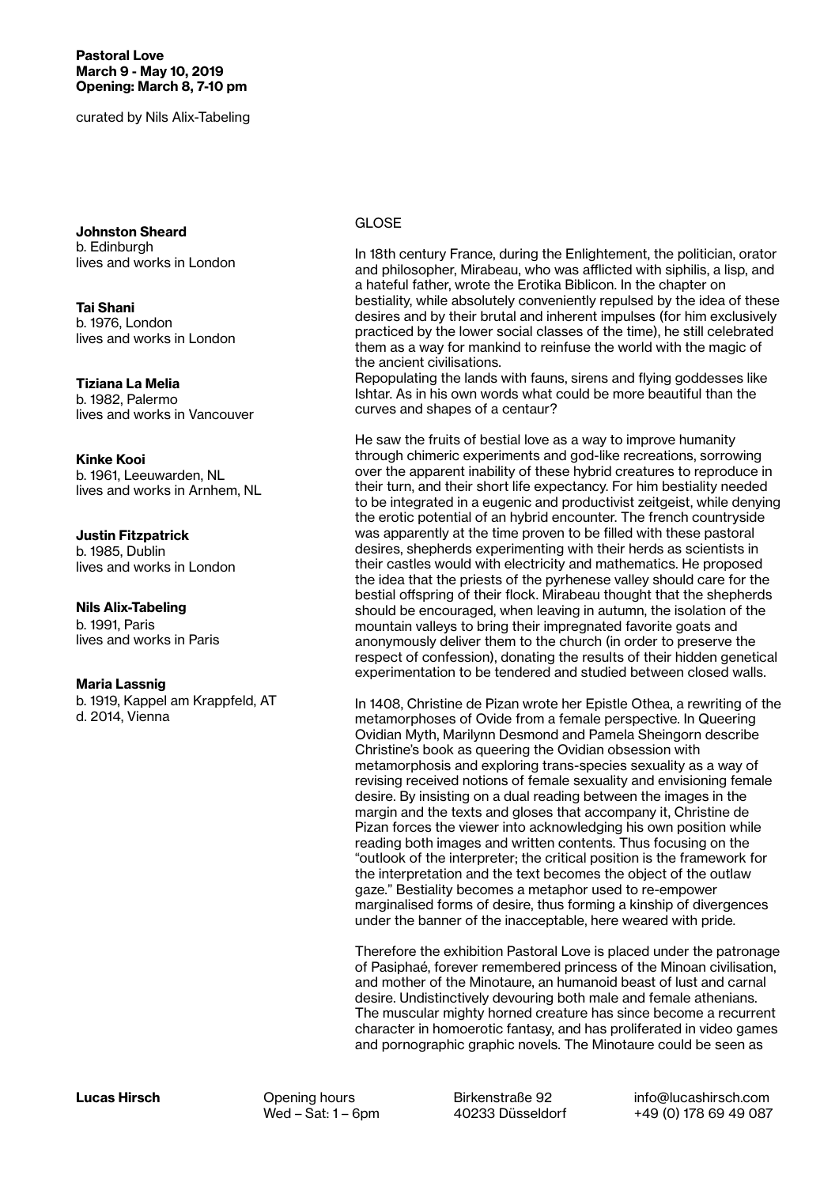Pastoral Love March 9 - May 10, 2019 Opening: March 8, 7-10 pm

curated by Nils Alix-Tabeling

Johnston Sheard b. Edinburgh lives and works in London

Tai Shani b. 1976, London lives and works in London

Tiziana La Melia b. 1982, Palermo lives and works in Vancouver

## Kinke Kooi

b. 1961, Leeuwarden, NL lives and works in Arnhem, NL

## Justin Fitzpatrick

b. 1985, Dublin lives and works in London

## Nils Alix-Tabeling

b. 1991, Paris lives and works in Paris

## Maria Lassnig

b. 1919, Kappel am Krappfeld, AT d. 2014, Vienna

In 18th century France, during the Enlightement, the politician, orator and philosopher, Mirabeau, who was afflicted with siphilis, a lisp, and a hateful father, wrote the Erotika Biblicon. In the chapter on bestiality, while absolutely conveniently repulsed by the idea of these desires and by their brutal and inherent impulses (for him exclusively practiced by the lower social classes of the time), he still celebrated them as a way for mankind to reinfuse the world with the magic of the ancient civilisations.

Repopulating the lands with fauns, sirens and flying goddesses like Ishtar. As in his own words what could be more beautiful than the curves and shapes of a centaur?

He saw the fruits of bestial love as a way to improve humanity through chimeric experiments and god-like recreations, sorrowing over the apparent inability of these hybrid creatures to reproduce in their turn, and their short life expectancy. For him bestiality needed to be integrated in a eugenic and productivist zeitgeist, while denying the erotic potential of an hybrid encounter. The french countryside was apparently at the time proven to be filled with these pastoral desires, shepherds experimenting with their herds as scientists in their castles would with electricity and mathematics. He proposed the idea that the priests of the pyrhenese valley should care for the bestial offspring of their flock. Mirabeau thought that the shepherds should be encouraged, when leaving in autumn, the isolation of the mountain valleys to bring their impregnated favorite goats and anonymously deliver them to the church (in order to preserve the respect of confession), donating the results of their hidden genetical experimentation to be tendered and studied between closed walls.

In 1408, Christine de Pizan wrote her Epistle Othea, a rewriting of the metamorphoses of Ovide from a female perspective. In Queering Ovidian Myth, Marilynn Desmond and Pamela Sheingorn describe Christine's book as queering the Ovidian obsession with metamorphosis and exploring trans-species sexuality as a way of revising received notions of female sexuality and envisioning female desire. By insisting on a dual reading between the images in the margin and the texts and gloses that accompany it, Christine de Pizan forces the viewer into acknowledging his own position while reading both images and written contents. Thus focusing on the "outlook of the interpreter; the critical position is the framework for the interpretation and the text becomes the object of the outlaw gaze." Bestiality becomes a metaphor used to re-empower marginalised forms of desire, thus forming a kinship of divergences under the banner of the inacceptable, here weared with pride.

Therefore the exhibition Pastoral Love is placed under the patronage of Pasiphaé, forever remembered princess of the Minoan civilisation, and mother of the Minotaure, an humanoid beast of lust and carnal desire. Undistinctively devouring both male and female athenians. The muscular mighty horned creature has since become a recurrent character in homoerotic fantasy, and has proliferated in video games and pornographic graphic novels. The Minotaure could be seen as

Birkenstraße 92 40233 Düsseldorf